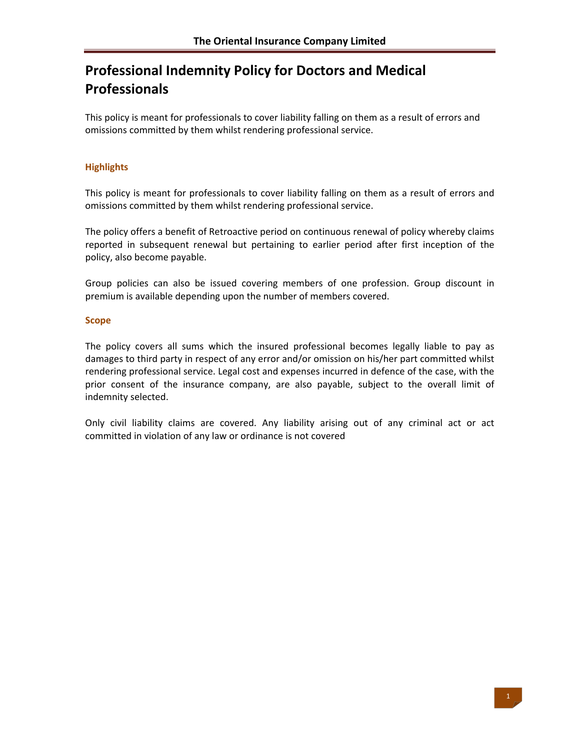# **Professional Indemnity Policy for Doctors and Medical Professionals**

This policy is meant for professionals to cover liability falling on them as a result of errors and omissions committed by them whilst rendering professional service.

# **Highlights**

This policy is meant for professionals to cover liability falling on them as a result of errors and omissions committed by them whilst rendering professional service.

The policy offers a benefit of Retroactive period on continuous renewal of policy whereby claims reported in subsequent renewal but pertaining to earlier period after first inception of the policy, also become payable.

Group policies can also be issued covering members of one profession. Group discount in premium is available depending upon the number of members covered.

# **Scope**

The policy covers all sums which the insured professional becomes legally liable to pay as damages to third party in respect of any error and/or omission on his/her part committed whilst rendering professional service. Legal cost and expenses incurred in defence of the case, with the prior consent of the insurance company, are also payable, subject to the overall limit of indemnity selected.

Only civil liability claims are covered. Any liability arising out of any criminal act or act committed in violation of any law or ordinance is not covered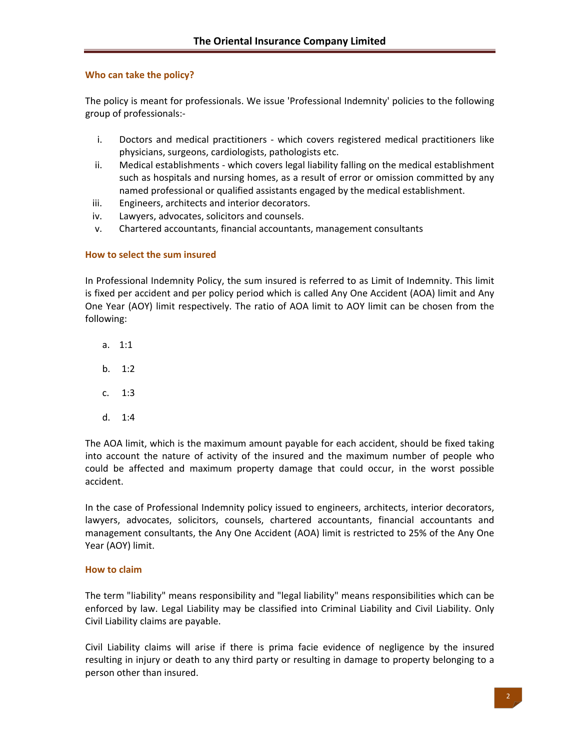# **Who can take the policy?**

The policy is meant for professionals. We issue 'Professional Indemnity' policies to the following group of professionals:‐

- i. Doctors and medical practitioners which covers registered medical practitioners like physicians, surgeons, cardiologists, pathologists etc.
- ii. Medical establishments ‐ which covers legal liability falling on the medical establishment such as hospitals and nursing homes, as a result of error or omission committed by any named professional or qualified assistants engaged by the medical establishment.
- iii. Engineers, architects and interior decorators.
- iv. Lawyers, advocates, solicitors and counsels.
- v. Chartered accountants, financial accountants, management consultants

# **How to select the sum insured**

In Professional Indemnity Policy, the sum insured is referred to as Limit of Indemnity. This limit is fixed per accident and per policy period which is called Any One Accident (AOA) limit and Any One Year (AOY) limit respectively. The ratio of AOA limit to AOY limit can be chosen from the following:

- a. 1:1
- b. 1:2
- c. 1:3
- d. 1:4

The AOA limit, which is the maximum amount payable for each accident, should be fixed taking into account the nature of activity of the insured and the maximum number of people who could be affected and maximum property damage that could occur, in the worst possible accident.

In the case of Professional Indemnity policy issued to engineers, architects, interior decorators, lawyers, advocates, solicitors, counsels, chartered accountants, financial accountants and management consultants, the Any One Accident (AOA) limit is restricted to 25% of the Any One Year (AOY) limit.

# **How to claim**

The term "liability" means responsibility and "legal liability" means responsibilities which can be enforced by law. Legal Liability may be classified into Criminal Liability and Civil Liability. Only Civil Liability claims are payable.

Civil Liability claims will arise if there is prima facie evidence of negligence by the insured resulting in injury or death to any third party or resulting in damage to property belonging to a person other than insured.